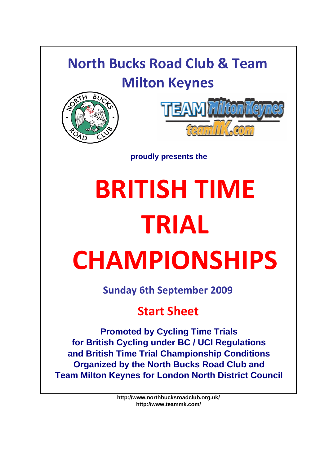# **North Bucks Road Club & Team Milton Keynes**





**proudly presents the**

# **BRITISH TIME TRIAL CHAMPIONSHIPS**

**Sunday 6th September 2009**

# **Start Sheet**

**Promoted by Cycling Time Trials for British Cycling under BC / UCI Regulations and British Time Trial Championship Conditions Organized by the North Bucks Road Club and Team Milton Keynes for London North District Council**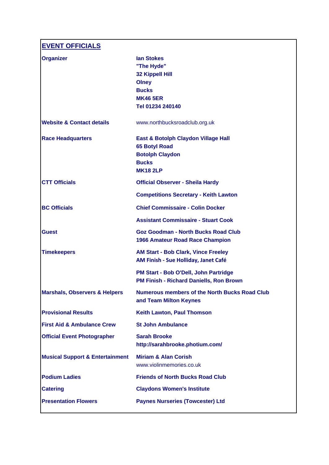**EVENT OFFICIALS**

| <b>Organizer</b>                           | <b>lan Stokes</b>                                                                    |
|--------------------------------------------|--------------------------------------------------------------------------------------|
|                                            | "The Hyde"                                                                           |
|                                            | <b>32 Kippell Hill</b><br><b>Olney</b>                                               |
|                                            | <b>Bucks</b>                                                                         |
|                                            | <b>MK46 5ER</b>                                                                      |
|                                            | Tel 01234 240140                                                                     |
| <b>Website &amp; Contact details</b>       | www.northbucksroadclub.org.uk                                                        |
| <b>Race Headquarters</b>                   | East & Botolph Claydon Village Hall<br><b>65 Botyl Road</b>                          |
|                                            | <b>Botolph Claydon</b>                                                               |
|                                            | <b>Bucks</b>                                                                         |
|                                            | <b>MK18 2LP</b>                                                                      |
| <b>CTT Officials</b>                       | <b>Official Observer - Sheila Hardy</b>                                              |
|                                            | <b>Competitions Secretary - Keith Lawton</b>                                         |
| <b>BC Officials</b>                        | <b>Chief Commissaire - Colin Docker</b>                                              |
|                                            | <b>Assistant Commissaire - Stuart Cook</b>                                           |
| <b>Guest</b>                               | <b>Goz Goodman - North Bucks Road Club</b><br><b>1966 Amateur Road Race Champion</b> |
| <b>Timekeepers</b>                         | <b>AM Start - Bob Clark, Vince Freeley</b><br>AM Finish - Sue Holliday, Janet Café   |
|                                            | PM Start - Bob O'Dell, John Partridge<br>PM Finish - Richard Daniells, Ron Brown     |
| <b>Marshals, Observers &amp; Helpers</b>   | <b>Numerous members of the North Bucks Road Club</b><br>and Team Milton Keynes       |
| <b>Provisional Results</b>                 | <b>Keith Lawton, Paul Thomson</b>                                                    |
| <b>First Aid &amp; Ambulance Crew</b>      | <b>St John Ambulance</b>                                                             |
| <b>Official Event Photographer</b>         | <b>Sarah Brooke</b><br>http://sarahbrooke.photium.com/                               |
| <b>Musical Support &amp; Entertainment</b> | <b>Miriam &amp; Alan Corish</b><br>www.violinmemories.co.uk                          |
| <b>Podium Ladies</b>                       | <b>Friends of North Bucks Road Club</b>                                              |
| <b>Catering</b>                            | <b>Claydons Women's Institute</b>                                                    |
| <b>Presentation Flowers</b>                | <b>Paynes Nurseries (Towcester) Ltd</b>                                              |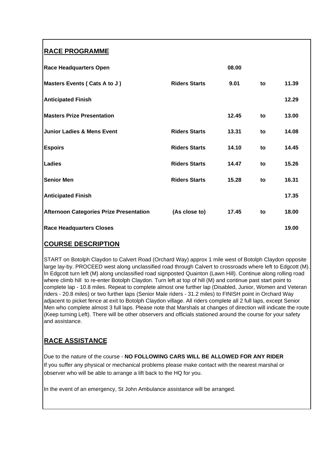# **RACE PROGRAMME**

| <b>Race Headquarters Open</b>                  |                      | 08.00 |    |       |
|------------------------------------------------|----------------------|-------|----|-------|
| Masters Events (Cats A to J)                   | <b>Riders Starts</b> | 9.01  | to | 11.39 |
| <b>Anticipated Finish</b>                      |                      |       |    | 12.29 |
| <b>Masters Prize Presentation</b>              |                      | 12.45 | to | 13.00 |
| <b>Junior Ladies &amp; Mens Event</b>          | <b>Riders Starts</b> | 13.31 | to | 14.08 |
| <b>Espoirs</b>                                 | <b>Riders Starts</b> | 14.10 | to | 14.45 |
| Ladies                                         | <b>Riders Starts</b> | 14.47 | to | 15.26 |
| <b>Senior Men</b>                              | <b>Riders Starts</b> | 15.28 | to | 16.31 |
| <b>Anticipated Finish</b>                      |                      |       |    | 17.35 |
| <b>Afternoon Categories Prize Presentation</b> | (As close to)        | 17.45 | to | 18.00 |
| <b>Race Headquarters Closes</b>                |                      |       |    | 19.00 |

# **COURSE DESCRIPTION**

START on Botolph Claydon to Calvert Road (Orchard Way) approx 1 mile west of Botolph Claydon opposite large lay-by. PROCEED west along unclassified road through Calvert to crossroads where left to Edgcott (M). In Edgcott turn left (M) along unclassified road signposted Quainton (Lawn Hill). Continue along rolling road where climb hill to re-enter Botolph Claydon. Turn left at top of hill (M) and continue past start point to complete lap - 10.8 miles. Repeat to complete almost one further lap (Disabled, Junior, Women and Veteran riders - 20.8 miles) or two further laps (Senior Male riders - 31.2 miles) to FINISH point in Orchard Way adjacent to picket fence at exit to Botolph Claydon village. All riders complete all 2 full laps, except Senior Men who complete almost 3 full laps. Please note that Marshals at changes of direction will indicate the route (Keep turning Left). There will be other observers and officials stationed around the course for your safety and assistance.

# **RACE ASSISTANCE**

Due to the nature of the course - **NO FOLLOWING CARS WILL BE ALLOWED FOR ANY RIDER** If you suffer any physical or mechanical problems please make contact with the nearest marshal or observer who will be able to arrange a lift back to the HQ for you.

In the event of an emergency, St John Ambulance assistance will be arranged.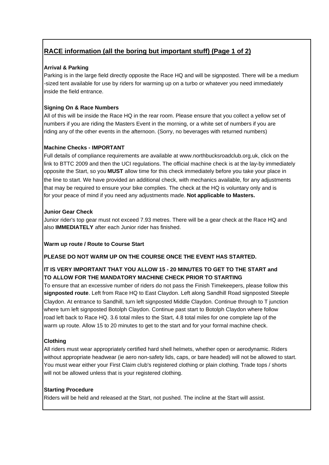# **RACE information (all the boring but important stuff) (Page 1 of 2)**

# **Arrival & Parking**

Parking is in the large field directly opposite the Race HQ and will be signposted. There will be a medium -sized tent available for use by riders for warming up on a turbo or whatever you need immediately inside the field entrance.

# **Signing On & Race Numbers**

All of this will be inside the Race HQ in the rear room. Please ensure that you collect a yellow set of numbers if you are riding the Masters Event in the morning, or a white set of numbers if you are riding any of the other events in the afternoon. (Sorry, no beverages with returned numbers)

# **Machine Checks - IMPORTANT**

Full details of compliance requirements are available at www.northbucksroadclub.org.uk, click on the link to BTTC 2009 and then the UCI regulations. The official machine check is at the lay-by immediately opposite the Start, so you **MUST** allow time for this check immediately before you take your place in the line to start. We have provided an additional check, with mechanics available, for any adjustments that may be required to ensure your bike complies. The check at the HQ is voluntary only and is for your peace of mind if you need any adjustments made. **Not applicable to Masters.**

# **Junior Gear Check**

Junior rider's top gear must not exceed 7.93 metres. There will be a gear check at the Race HQ and also **IMMEDIATELY** after each Junior rider has finished.

# **Warm up route / Route to Course Start**

**PLEASE DO NOT WARM UP ON THE COURSE ONCE THE EVENT HAS STARTED.**

# **IT IS VERY IMPORTANT THAT YOU ALLOW 15 - 20 MINUTES TO GET TO THE START and TO ALLOW FOR THE MANDATORY MACHINE CHECK PRIOR TO STARTING**

To ensure that an excessive number of riders do not pass the Finish Timekeepers, please follow this **signposted route**. Left from Race HQ to East Claydon. Left along Sandhill Road signposted Steeple Claydon. At entrance to Sandhill, turn left signposted Middle Claydon. Continue through to T junction where turn left signposted Botolph Claydon. Continue past start to Botolph Claydon where follow road left back to Race HQ. 3.6 total miles to the Start, 4.8 total miles for one complete lap of the warm up route. Allow 15 to 20 minutes to get to the start and for your formal machine check.

# **Clothing**

All riders must wear appropriately certified hard shell helmets, whether open or aerodynamic. Riders without appropriate headwear (ie aero non-safety lids, caps, or bare headed) will not be allowed to start. You must wear either your First Claim club's registered clothing or plain clothing. Trade tops / shorts will not be allowed unless that is your registered clothing.

# **Starting Procedure**

Riders will be held and released at the Start, not pushed. The incline at the Start will assist.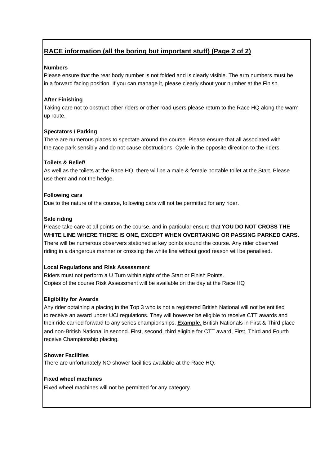# **RACE information (all the boring but important stuff) (Page 2 of 2)**

# **Numbers**

Please ensure that the rear body number is not folded and is clearly visible. The arm numbers must be in a forward facing position. If you can manage it, please clearly shout your number at the Finish.

# **After Finishing**

Taking care not to obstruct other riders or other road users please return to the Race HQ along the warm up route.

# **Spectators / Parking**

There are numerous places to spectate around the course. Please ensure that all associated with the race park sensibly and do not cause obstructions. Cycle in the opposite direction to the riders.

# **Toilets & Relief!**

As well as the toilets at the Race HQ, there will be a male & female portable toilet at the Start. Please use them and not the hedge.

# **Following cars**

Due to the nature of the course, following cars will not be permitted for any rider.

# **Safe riding**

Please take care at all points on the course, and in particular ensure that **YOU DO NOT CROSS THE WHITE LINE WHERE THERE IS ONE, EXCEPT WHEN OVERTAKING OR PASSING PARKED CARS.** There will be numerous observers stationed at key points around the course. Any rider observed riding in a dangerous manner or crossing the white line without good reason will be penalised.

# **Local Regulations and Risk Assessment**

Riders must not perform a U Turn within sight of the Start or Finish Points. Copies of the course Risk Assessment will be available on the day at the Race HQ

# **Eligibility for Awards**

Any rider obtaining a placing in the Top 3 who is not a registered British National will not be entitled to receive an award under UCI regulations. They will however be eligible to receive CTT awards and their ride carried forward to any series championships. **Example.** British Nationals in First & Third place and non-British National in second. First, second, third eligible for CTT award, First, Third and Fourth receive Championship placing.

# **Shower Facilities**

There are unfortunately NO shower facilities available at the Race HQ.

#### **Fixed wheel machines**

Fixed wheel machines will not be permitted for any category.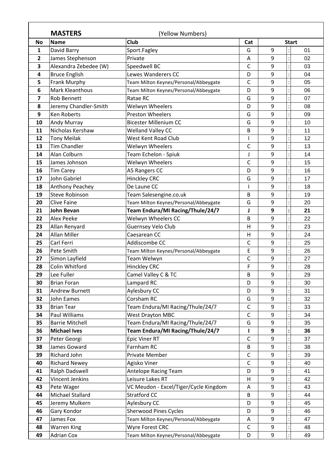|              | <b>MASTERS</b>                              | (Yellow Numbers)                                |                |        |              |
|--------------|---------------------------------------------|-------------------------------------------------|----------------|--------|--------------|
| <b>No</b>    | <b>Name</b>                                 | <b>Club</b>                                     | Cat            |        | <b>Start</b> |
| 1            | David Barry                                 | Sport.Fagley                                    | G              | 9      | 01           |
| $\mathbf{2}$ | James Stephenson                            | Private                                         | $\overline{A}$ | 9      | 02           |
| 3            | Alexandra Zebedee (W)                       | Speedwell BC                                    | C              | 9      | 03           |
| 4            | <b>Bruce English</b>                        | Lewes Wanderers CC                              | D              | 9      | 04           |
| 5            | Frank Murphy                                | Team Milton Keynes/Personal/Abbeygate           | C              | 9      | 05           |
| 6            | <b>Mark Kleanthous</b>                      | Team Milton Keynes/Personal/Abbeygate           | D              | 9      | 06           |
| 7<br>8       | <b>Rob Bennett</b>                          | Ratae RC                                        | G<br>D         | 9<br>9 | 07<br>08     |
|              | Jeremy Chandler-Smith<br><b>Ken Roberts</b> | Welwyn Wheelers<br><b>Preston Wheelers</b>      | G              | 9      | 09           |
| 9            |                                             | <b>Bicester Millenium CC</b>                    | G              | 9      |              |
| 10           | Andy Murray                                 |                                                 |                |        | 10           |
| 11<br>12     | Nicholas Kershaw                            | <b>Welland Valley CC</b><br>West Kent Road Club | B              | 9<br>9 | 11<br>12     |
|              | <b>Tony Meilak</b><br><b>Tim Chandler</b>   |                                                 |                |        |              |
| 13           |                                             | Welwyn Wheelers                                 | C              | 9      | 13           |
| 14<br>15     | Alan Colburn<br>James Johnson               | Team Echelon - Spiuk<br>Welwyn Wheelers         | J<br>C         | 9<br>9 | 14<br>15     |
|              |                                             |                                                 |                |        |              |
| 16           | <b>Tim Carey</b><br>John Gabriel            | A5 Rangers CC                                   | D<br>G         | 9<br>9 | 16           |
| 17<br>18     |                                             | <b>Hinckley CRC</b><br>De Laune CC              |                | 9      | 17<br>18     |
| 19           | Anthony Peachey<br><b>Steve Robinson</b>    |                                                 |                | 9      | 19           |
|              | <b>Clive Faine</b>                          | Team Salesengine.co.uk                          | B<br>G         | 9      | 20           |
| 20<br>21     | <b>John Bevan</b>                           | Team Milton Keynes/Personal/Abbeygate           |                | 9      | 21           |
| 22           | <b>Alex Peeke</b>                           | Team Endura/MI Racing/Thule/24/7                | J<br>B         | 9      | 22           |
| 23           | Allan Renyard                               | Welwyn Wheelers CC<br>Guernsey Velo Club        | H              | 9      | 23           |
| 24           | <b>Allan Miller</b>                         | Caesarean CC                                    | H              | 9      | 24           |
| 25           | Carl Ferri                                  | Addiscombe CC                                   | C              | 9      | 25           |
| 26           | Pete Smith                                  | Team Milton Keynes/Personal/Abbeygate           | E              | 9      | 26           |
| 27           | Simon Layfield                              | Team Welwyn                                     | C              | 9      | 27           |
| 28           | Colin Whitford                              | <b>Hinckley CRC</b>                             | F              | 9      | 28           |
| 29           | Lee Fuller                                  | Camel Valley C & TC                             | B              | 9      | 29           |
| 30           | <b>Brian Foran</b>                          | Lampard RC                                      | D              | 9      | 30           |
| 31           | Andrew Burnett                              | Aylesbury CC                                    | D              | 9      | 31           |
| 32           | <b>John Eames</b>                           | Corsham RC                                      | G              | 9      | 32           |
| 33           | <b>Brian Tear</b>                           | Team Endura/MI Racing/Thule/24/7                | $\mathsf C$    | 9      | 33           |
| 34           | Paul Williams                               | <b>West Drayton MBC</b>                         | $\mathsf{C}$   | 9      | 34           |
| 35           | <b>Barrie Mitchell</b>                      | Team Endura/MI Racing/Thule/24/7                | G              | 9      | 35           |
| 36           | <b>Michael Ives</b>                         | Team Endura/MI Racing/Thule/24/7                |                | 9      | 36           |
| 37           | Peter Georgi                                | <b>Epic Viner RT</b>                            | $\mathsf C$    | 9      | 37           |
| 38           | James Goward                                | Farnham RC                                      | B              | 9      | 38           |
| 39           | Richard John                                | Private Member                                  | $\mathsf C$    | 9      | 39           |
| 40           | <b>Richard Newey</b>                        | Agisko Viner                                    | $\mathsf C$    | 9      | 40           |
| 41           | Ralph Dadswell                              | Antelope Racing Team                            | D              | 9      | 41           |
| 42           | Vincent Jenkins                             | Leisure Lakes RT                                | H              | 9      | 42           |
| 43           | Pete Wager                                  | VC Meudon - Excel/Tiger/Cycle Kingdom           | A              | 9      | 43           |
| 44           | Michael Stallard                            | <b>Stratford CC</b>                             | В              | 9      | 44           |
| 45           | Jeremy Mulkern                              | Aylesbury CC                                    | D              | 9      | 45           |
| 46           | Gary Kondor                                 | <b>Sherwood Pines Cycles</b>                    | D              | 9      | 46           |
| 47           | James Fox                                   | Team Milton Keynes/Personal/Abbeygate           | Α              | 9      | 47           |
|              |                                             | Wyre Forest CRC                                 | $\mathsf C$    | 9      | 48           |
| 48           | <b>Warren King</b>                          |                                                 |                |        |              |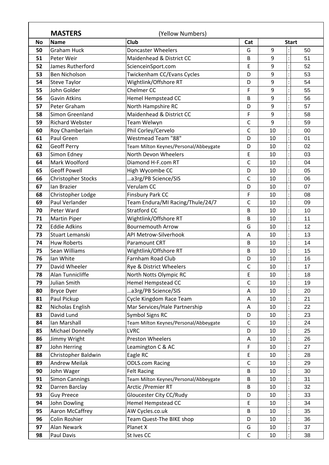|                                  | <b>MASTERS</b>                                                                                     | (Yellow Numbers)                                                                                                              |                                 |    |                            |    |
|----------------------------------|----------------------------------------------------------------------------------------------------|-------------------------------------------------------------------------------------------------------------------------------|---------------------------------|----|----------------------------|----|
| <b>No</b>                        | <b>Name</b>                                                                                        | <b>Club</b>                                                                                                                   | Cat                             |    | <b>Start</b>               |    |
| 50                               | <b>Graham Huck</b>                                                                                 | <b>Doncaster Wheelers</b>                                                                                                     | G                               | 9  |                            | 50 |
| 51                               | Peter Weir                                                                                         | Maidenhead & District CC                                                                                                      | B                               | 9  |                            | 51 |
| 52                               | James Rutherford                                                                                   | ScienceinSport.com                                                                                                            | E                               | 9  |                            | 52 |
| 53                               | Ben Nicholson                                                                                      | Twickenham CC/Evans Cycles                                                                                                    | D                               | 9  |                            | 53 |
| 54                               | <b>Steve Taylor</b>                                                                                | Wightlink/Offshore RT                                                                                                         | D                               | 9  |                            | 54 |
| 55                               | John Golder                                                                                        | Chelmer CC                                                                                                                    | F                               | 9  |                            | 55 |
| 56                               | <b>Gavin Atkins</b>                                                                                | <b>Hemel Hempstead CC</b>                                                                                                     | B                               | 9  |                            | 56 |
| 57                               | Peter Graham                                                                                       | North Hampshire RC                                                                                                            | D                               | 9  |                            | 57 |
| 58                               | Simon Greenland                                                                                    | Maidenhead & District CC                                                                                                      | F                               | 9  |                            | 58 |
| 59                               | <b>Richard Webster</b>                                                                             | Team Welwyn                                                                                                                   | C                               | 9  |                            | 59 |
| 60                               | Roy Chamberlain                                                                                    | Phil Corley/Cervelo                                                                                                           | C                               | 10 |                            | 00 |
| 61                               | Paul Green                                                                                         | Westmead Team "88"                                                                                                            | D                               | 10 |                            | 01 |
| 62                               | <b>Geoff Perry</b>                                                                                 | Team Milton Keynes/Personal/Abbeygate                                                                                         | D                               | 10 |                            | 02 |
| 63                               | Simon Edney                                                                                        | North Devon Wheelers                                                                                                          | E                               | 10 |                            | 03 |
| 64                               | Mark Woolford                                                                                      | Diamond H-F.com RT                                                                                                            | C                               | 10 |                            | 04 |
| 65                               | <b>Geoff Powell</b>                                                                                | High Wycombe CC                                                                                                               | D                               | 10 |                            | 05 |
| 66                               | <b>Christopher Stocks</b>                                                                          | a3rg/PB Science/SIS                                                                                                           | C                               | 10 |                            | 06 |
| 67                               | Ian Brazier                                                                                        | Verulam CC                                                                                                                    | D                               | 10 |                            | 07 |
| 68                               | Christopher Lodge                                                                                  | Finsbury Park CC                                                                                                              | F                               | 10 |                            | 08 |
| 69                               | Paul Verlander                                                                                     | Team Endura/MI Racing/Thule/24/7                                                                                              | C                               | 10 |                            | 09 |
| 70                               | Peter Ward                                                                                         | <b>Stratford CC</b>                                                                                                           | B                               | 10 |                            | 10 |
| 71                               | <b>Martin Piper</b>                                                                                | Wightlink/Offshore RT                                                                                                         | B                               | 10 |                            | 11 |
| 72                               | <b>Eddie Adkins</b>                                                                                | <b>Bournemouth Arrow</b>                                                                                                      | G                               | 10 |                            | 12 |
| 73                               | Stuart Lemanski                                                                                    | API Metrow-Silverhook                                                                                                         | Α                               | 10 |                            | 13 |
| 74                               | <b>Huw Roberts</b>                                                                                 | Paramount CRT                                                                                                                 | B                               | 10 |                            | 14 |
| 75                               | Sean Williams                                                                                      | Wightlink/Offshore RT                                                                                                         | B                               | 10 |                            | 15 |
| 76                               | Ian White                                                                                          | Farnham Road Club                                                                                                             | D                               | 10 |                            | 16 |
| 77                               | David Wheeler                                                                                      | Rye & District Wheelers                                                                                                       | C                               | 10 |                            | 17 |
| 78                               | Alan Tunnicliffe                                                                                   | North Notts Olympic RC                                                                                                        | E                               | 10 |                            | 18 |
| 79                               | Julian Smith                                                                                       | <b>Hemel Hempstead CC</b>                                                                                                     | $\mathsf C$                     | 10 |                            | 19 |
| 80                               | <b>Bryce Dyer</b>                                                                                  | a3rg/PB Science/SIS                                                                                                           | Α                               | 10 |                            | 20 |
| 81                               | Paul Pickup                                                                                        | Cycle Kingdom Race Team                                                                                                       | А                               | 10 |                            | 21 |
| 82                               | Nicholas English                                                                                   | Mar Services/Hale Partnership                                                                                                 | Α                               | 10 |                            | 22 |
| 83                               | David Lund                                                                                         | Symbol Signs RC                                                                                                               | D                               | 10 |                            | 23 |
| 84                               | Ian Marshall                                                                                       | Team Milton Keynes/Personal/Abbeygate                                                                                         | С                               | 10 |                            | 24 |
| 85                               | <b>Michael Donnelly</b>                                                                            | <b>LVRC</b>                                                                                                                   | D                               | 10 |                            | 25 |
| 86                               | Jimmy Wright                                                                                       | <b>Preston Wheelers</b>                                                                                                       | Α                               | 10 |                            | 26 |
| 87                               | John Herring                                                                                       | Leamington C & AC                                                                                                             | F                               | 10 |                            | 27 |
| 88                               | Christopher Baldwin                                                                                | Eagle RC                                                                                                                      | E                               | 10 |                            | 28 |
| 89                               | <b>Andrew Meilak</b>                                                                               | <b>ODLS.com Racing</b>                                                                                                        | $\mathsf C$                     | 10 |                            | 29 |
| 90                               | John Wager                                                                                         | <b>Felt Racing</b>                                                                                                            | B                               | 10 |                            | 30 |
| 91                               | <b>Simon Cannings</b>                                                                              | Team Milton Keynes/Personal/Abbeygate                                                                                         | B                               | 10 |                            | 31 |
| 92                               | Darren Barclay                                                                                     | Arctic / Premier RT                                                                                                           | B                               | 10 |                            | 32 |
|                                  |                                                                                                    |                                                                                                                               | D                               | 10 |                            | 33 |
|                                  |                                                                                                    |                                                                                                                               |                                 |    |                            | 34 |
|                                  |                                                                                                    |                                                                                                                               |                                 |    |                            | 35 |
|                                  |                                                                                                    |                                                                                                                               |                                 |    |                            | 36 |
|                                  |                                                                                                    |                                                                                                                               |                                 |    |                            | 37 |
|                                  |                                                                                                    |                                                                                                                               |                                 |    |                            | 38 |
| 93<br>94<br>95<br>96<br>97<br>98 | <b>Guy Preece</b><br>John Dowling<br>Aaron McCaffrey<br>Colin Roshier<br>Alan Newark<br>Paul Davis | Gloucester City CC/Rudy<br><b>Hemel Hempstead CC</b><br>AW Cycles.co.uk<br>Team Quest-The BIKE shop<br>Planet X<br>St Ives CC | E<br>В<br>D<br>G<br>$\mathsf C$ |    | 10<br>10<br>10<br>10<br>10 |    |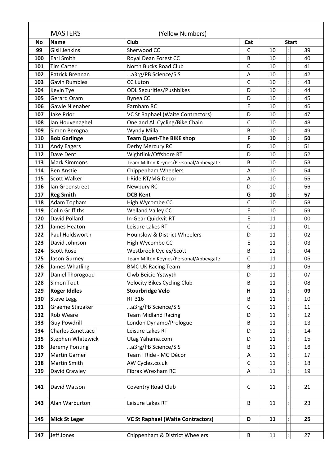|            | <b>MASTERS</b><br><b>Name</b>             | (Yellow Numbers)<br><b>Club</b>                                |                     |          |                    |
|------------|-------------------------------------------|----------------------------------------------------------------|---------------------|----------|--------------------|
| <b>No</b>  | Gisli Jenkins                             | Sherwood CC                                                    | Cat<br>$\mathsf{C}$ | 10       | <b>Start</b><br>39 |
| 99         | <b>Earl Smith</b>                         |                                                                |                     | 10       |                    |
| 100<br>101 | <b>Tim Carter</b>                         | Royal Dean Forest CC<br>North Bucks Road Club                  | В<br>C              | 10       | 40<br>41           |
| 102        | Patrick Brennan                           | a3rg/PB Science/SIS                                            | A                   | 10       | 42                 |
| 103        | <b>Gavin Rumbles</b>                      | <b>CC Luton</b>                                                | C                   | 10       | 43                 |
| 104        | Kevin Tye                                 | <b>ODL Securities/Pushbikes</b>                                | D                   | 10       | 44                 |
| 105        | <b>Gerard Oram</b>                        | <b>Bynea CC</b>                                                | D                   | 10       | 45                 |
| 106        | Gawie Nienaber                            | Farnham RC                                                     | E                   | 10       | 46                 |
| 107        | <b>Jake Prior</b>                         | VC St Raphael (Waite Contractors)                              | D                   | 10       | 47                 |
| 108        | Ian Houvenaghel                           | One and All Cycling/Bike Chain                                 | C                   | 10       | 48                 |
| 109        | Simon Berogna                             | Wyndy Milla                                                    | B                   | 10       | 49                 |
| 110        | <b>Bob Garlinge</b>                       | <b>Team Quest-The BIKE shop</b>                                | F                   | 10       | 50                 |
| 111        | <b>Andy Eagers</b>                        | Derby Mercury RC                                               | D                   | 10       | 51                 |
| 112        | Dave Dent                                 |                                                                | D                   | 10       | 52                 |
| 113        | <b>Mark Simmons</b>                       | Wightlink/Offshore RT<br>Team Milton Keynes/Personal/Abbeygate | B                   | 10       | 53                 |
| 114        | <b>Ben Anstie</b>                         | Chippenham Wheelers                                            | A                   | 10       | 54                 |
| 115        | <b>Scott Walker</b>                       | I-Ride RT/MG Decor                                             | $\overline{A}$      | 10       | 55                 |
| 116        |                                           |                                                                | D                   | 10       | 56                 |
| 117        | Ian Greenstreet<br><b>Reg Smith</b>       | Newbury RC<br><b>DCB Kent</b>                                  | G                   | 10       | 57                 |
| 118        | Adam Topham                               | High Wycombe CC                                                | C                   | 10       | 58                 |
| 119        | <b>Colin Griffiths</b>                    | <b>Welland Valley CC</b>                                       | E                   | 10       | 59                 |
| 120        | David Pollard                             | In-Gear Quickvit RT                                            | E                   | 11       | 00                 |
| 121        | James Heaton                              | Leisure Lakes RT                                               | C                   | 11       | 01                 |
| 122        | Paul Holdsworth                           | <b>Hounslow &amp; District Wheelers</b>                        | D                   | 11       | 02                 |
|            | David Johnson                             |                                                                |                     | 11       |                    |
| 123        |                                           | High Wycombe CC                                                | E                   | 11       | 03<br>04           |
| 124<br>125 | <b>Scott Rose</b>                         | Westbrook Cycles/Scott                                         | B<br>C              | 11       | 05                 |
| 126        | Jason Gurney                              | Team Milton Keynes/Personal/Abbeygate                          |                     | 11       |                    |
|            | James Whatling                            | <b>BMC UK Racing Team</b>                                      | B                   | 11       | 06<br>07           |
| 127<br>128 | Daniel Thorogood<br>Simon Tout            | Clwb Beicio Ystwyth<br><b>Velocity Bikes Cycling Club</b>      | D<br>В              | 11       | 08                 |
|            |                                           | <b>Stourbridge Velo</b>                                        |                     | 11       | 09                 |
| 129        | <b>Roger Iddles</b>                       |                                                                | н                   |          |                    |
| 130        | <b>Steve Legg</b>                         | RT 316                                                         | B                   | 11<br>11 | 10                 |
| 131        | Graeme Stirzaker                          | a3rg/PB Science/SIS                                            | $\mathsf C$         | 11       | 11<br>12           |
| 132        | Rob Weare                                 | <b>Team Midland Racing</b>                                     | D                   |          |                    |
| 133        | <b>Guy Powdrill</b><br>Charles Zanettacci | London Dynamo/Prologue<br>Leisure Lakes RT                     | B<br>D              | 11<br>11 | 13<br>14           |
| 134<br>135 | Stephen Whitewick                         |                                                                |                     | 11       | 15                 |
| 136        |                                           | Utag Yahama.com<br>a3rg/PB Science/SIS                         | D<br>B              | 11       | 16                 |
| 137        | Jeremy Ponting<br><b>Martin Garner</b>    | Team I Ride - MG Décor                                         |                     | 11       | 17                 |
| 138        | Martin Smith                              |                                                                | A                   | 11       |                    |
| 139        | David Crawley                             | AW Cycles.co.uk<br>Fibrax Wrexham RC                           | C<br>A              | 11       | 18<br>19           |
|            |                                           |                                                                |                     |          |                    |
| 141        | David Watson                              | Coventry Road Club                                             | $\mathsf{C}$        | 11       | 21                 |
|            |                                           |                                                                |                     |          |                    |
| 143        | Alan Warburton                            | Leisure Lakes RT                                               | B                   | 11       | 23                 |
| 145        | <b>Mick St Leger</b>                      | <b>VC St Raphael (Waite Contractors)</b>                       | D                   | 11       | 25                 |
|            |                                           |                                                                |                     |          |                    |
| 147        | Jeff Jones                                | Chippenham & District Wheelers                                 | B                   | 11       | 27                 |
|            |                                           |                                                                |                     |          |                    |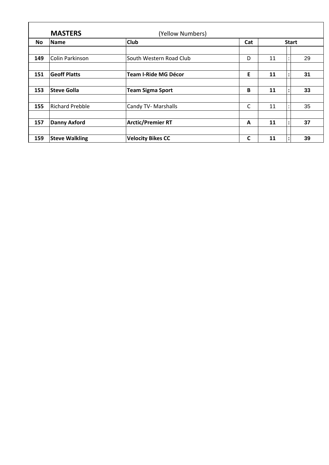|           | <b>MASTERS</b>         | (Yellow Numbers)            |              |    |              |    |
|-----------|------------------------|-----------------------------|--------------|----|--------------|----|
| <b>No</b> | Name                   | <b>Club</b>                 | Cat          |    | <b>Start</b> |    |
| 149       | Colin Parkinson        | South Western Road Club     | D            | 11 |              | 29 |
| 151       | <b>Geoff Platts</b>    | <b>Team I-Ride MG Décor</b> | E            | 11 |              | 31 |
| 153       | <b>Steve Golla</b>     | <b>Team Sigma Sport</b>     | B            | 11 |              | 33 |
| 155       | <b>Richard Prebble</b> | Candy TV- Marshalls         | $\mathsf{C}$ | 11 |              | 35 |
| 157       | <b>Danny Axford</b>    | <b>Arctic/Premier RT</b>    | $\mathbf{A}$ | 11 |              | 37 |
| 159       | <b>Steve Walkling</b>  | <b>Velocity Bikes CC</b>    | C            | 11 |              | 39 |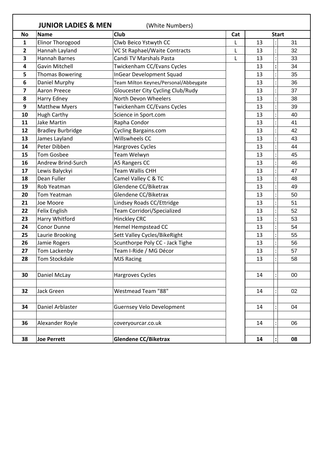|                | <b>JUNIOR LADIES &amp; MEN</b> | (White Numbers)                       |     |    |              |        |
|----------------|--------------------------------|---------------------------------------|-----|----|--------------|--------|
| <b>No</b>      | <b>Name</b>                    | <b>Club</b>                           | Cat |    | <b>Start</b> |        |
| 1              | <b>Elinor Thorogood</b>        | Clwb Beico Ystwyth CC                 |     | 13 |              | 31     |
| $\overline{2}$ | Hannah Layland                 | VC St Raphael/Waite Contracts         | L   | 13 |              | 32     |
| 3              | <b>Hannah Barnes</b>           | Candi TV Marshals Pasta               | L   | 13 |              | 33     |
| 4              | <b>Gavin Mitchell</b>          | Twickenham CC/Evans Cycles            |     | 13 |              | 34     |
| 5              | <b>Thomas Bowering</b>         | <b>InGear Development Squad</b>       |     | 13 |              | 35     |
| 6              | Daniel Murphy                  | Team Milton Keynes/Personal/Abbeygate |     | 13 |              | 36     |
| 7              | <b>Aaron Preece</b>            | Gloucester City Cycling Club/Rudy     |     | 13 |              | 37     |
| 8              | Harry Edney                    | North Devon Wheelers                  |     | 13 |              | 38     |
| 9              | <b>Matthew Myers</b>           | Twickenham CC/Evans Cycles            |     | 13 |              | 39     |
| 10             | <b>Hugh Carthy</b>             | Science in Sport.com                  |     | 13 |              | 40     |
| 11             | <b>Jake Martin</b>             | Rapha Condor                          |     | 13 |              | 41     |
| 12             | <b>Bradley Burbridge</b>       | Cycling Bargains.com                  |     | 13 |              | 42     |
| 13             | James Layland                  | <b>Willswheels CC</b>                 |     | 13 |              | 43     |
| 14             | Peter Dibben                   | Hargroves Cycles                      |     | 13 |              | 44     |
| 15             | <b>Tom Gosbee</b>              | Team Welwyn                           |     | 13 |              | 45     |
| 16             | Andrew Brind-Surch             | A5 Rangers CC                         |     | 13 |              | 46     |
| 17             | Lewis Balyckyi                 | <b>Team Wallis CHH</b>                |     | 13 |              | 47     |
| 18             | Dean Fuller                    | Camel Valley C & TC                   |     | 13 |              | 48     |
| 19             | Rob Yeatman                    | Glendene CC/Biketrax                  |     | 13 |              | 49     |
| 20             | Tom Yeatman                    | Glendene CC/Biketrax                  |     | 13 |              | 50     |
| 21             | Joe Moore                      | Lindsey Roads CC/Ettridge             |     | 13 |              | 51     |
| 22             | Felix English                  | Team Corridori/Specialized            |     | 13 |              | 52     |
| 23             | Harry Whitford                 | <b>Hinckley CRC</b>                   |     | 13 |              | 53     |
| 24             | Conor Dunne                    | <b>Hemel Hempstead CC</b>             |     | 13 |              | 54     |
| 25             | Laurie Brooking                | Sett Valley Cycles/BikeRight          |     | 13 |              | 55     |
| 26             | Jamie Rogers                   | Scunthorpe Poly CC - Jack Tighe       |     | 13 |              | 56     |
| 27             | Tom Lackenby                   | Team I-Ride / MG Décor                |     | 13 |              | 57     |
| 28             | Tom Stockdale                  | MJS Racing                            |     | 13 |              | 58     |
|                |                                |                                       |     |    |              |        |
| 30             | Daniel McLay                   | Hargroves Cycles                      |     | 14 |              | $00\,$ |
|                |                                |                                       |     |    |              |        |
| 32             | Jack Green                     | Westmead Team "88"                    |     | 14 |              | 02     |
|                |                                |                                       |     |    |              |        |
| 34             | Daniel Arblaster               | <b>Guernsey Velo Development</b>      |     | 14 |              | 04     |
|                |                                |                                       |     |    |              |        |
| 36             | Alexander Royle                | coveryourcar.co.uk                    |     | 14 |              | 06     |
|                |                                |                                       |     |    |              |        |
| 38             | <b>Joe Perrett</b>             | <b>Glendene CC/Biketrax</b>           |     | 14 |              | 08     |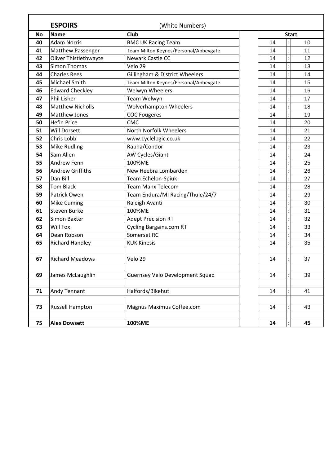|           | <b>ESPOIRS</b>           | (White Numbers)                       |              |
|-----------|--------------------------|---------------------------------------|--------------|
| <b>No</b> | <b>Name</b>              | <b>Club</b>                           | <b>Start</b> |
| 40        | <b>Adam Norris</b>       | <b>BMC UK Racing Team</b>             | 10<br>14     |
| 41        | <b>Matthew Passenger</b> | Team Milton Keynes/Personal/Abbeygate | 11<br>14     |
| 42        | Oliver Thistlethwayte    | Newark Castle CC                      | 14<br>12     |
| 43        | <b>Simon Thomas</b>      | Velo 29                               | 13<br>14     |
| 44        | <b>Charles Rees</b>      | Gillingham & District Wheelers        | 14<br>14     |
| 45        | Michael Smith            | Team Milton Keynes/Personal/Abbeygate | 14<br>15     |
| 46        | <b>Edward Checkley</b>   | Welwyn Wheelers                       | 14<br>16     |
| 47        | Phil Lisher              | Team Welwyn                           | 17<br>14     |
| 48        | <b>Matthew Nicholls</b>  | <b>Wolverhampton Wheelers</b>         | 14<br>18     |
| 49        | <b>Matthew Jones</b>     | <b>COC Fougeres</b>                   | 14<br>19     |
| 50        | <b>Hefin Price</b>       | <b>CMC</b>                            | 20<br>14     |
| 51        | <b>Will Dorsett</b>      | North Norfolk Wheelers                | 21<br>14     |
| 52        | Chris Lobb               | www.cyclelogic.co.uk                  | 22<br>14     |
| 53        | <b>Mike Rudling</b>      | Rapha/Condor                          | 14<br>23     |
| 54        | Sam Allen                | AW Cycles/Giant                       | 14<br>24     |
| 55        | Andrew Fenn              | 100%ME                                | 25<br>14     |
| 56        | <b>Andrew Griffiths</b>  | New Heebra Lombarden                  | 14<br>26     |
| 57        | Dan Bill                 | Team Echelon-Spiuk                    | 14<br>27     |
| 58        | <b>Tom Black</b>         | <b>Team Manx Telecom</b>              | 14<br>28     |
| 59        | Patrick Owen             | Team Endura/MI Racing/Thule/24/7      | 14<br>29     |
| 60        | Mike Cuming              | Raleigh Avanti                        | 14<br>30     |
| 61        | <b>Steven Burke</b>      | 100%ME                                | 14<br>31     |
| 62        | Simon Baxter             | <b>Adept Precision RT</b>             | 32<br>14     |
| 63        | Will Fox                 | <b>Cycling Bargains.com RT</b>        | 14<br>33     |
| 64        | Dean Robson              | Somerset RC                           | 14<br>34     |
| 65        | <b>Richard Handley</b>   | <b>KUK Kinesis</b>                    | 14<br>35     |
|           |                          |                                       |              |
| 67        | <b>Richard Meadows</b>   | Velo 29                               | 14<br>37     |
|           |                          |                                       |              |
| 69        | James McLaughlin         | Guernsey Velo Development Squad       | 39<br>14     |
|           |                          |                                       |              |
| 71        | Andy Tennant             | Halfords/Bikehut                      | 41<br>14     |
|           |                          |                                       |              |
| 73        | <b>Russell Hampton</b>   | Magnus Maximus Coffee.com             | 14<br>43     |
|           |                          |                                       |              |
| 75        | <b>Alex Dowsett</b>      | 100%ME                                | 14<br>45     |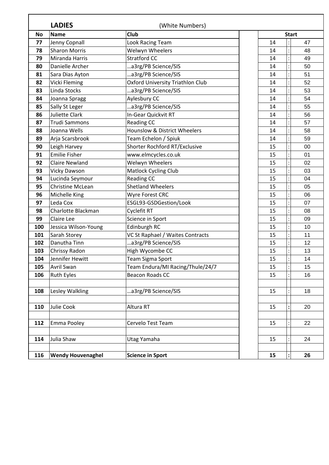|           | <b>LADIES</b>            | (White Numbers)                         |              |
|-----------|--------------------------|-----------------------------------------|--------------|
| <b>No</b> | <b>Name</b>              | <b>Club</b>                             | <b>Start</b> |
| 77        | Jenny Copnall            | Look Racing Team                        | 47<br>14     |
| 78        | <b>Sharon Morris</b>     | <b>Welwyn Wheelers</b>                  | 14<br>48     |
| 79        | Miranda Harris           | <b>Stratford CC</b>                     | 14<br>49     |
| 80        | Danielle Archer          | a3rg/PB Science/SIS                     | 14<br>50     |
| 81        | Sara Dias Ayton          | a3rg/PB Science/SIS                     | 14<br>51     |
| 82        | Vicki Fleming            | <b>Oxford University Triathlon Club</b> | 52<br>14     |
| 83        | Linda Stocks             | a3rg/PB Science/SIS                     | 14<br>53     |
| 84        | Joanna Spragg            | Aylesbury CC                            | 54<br>14     |
| 85        | Sally St Leger           | a3rg/PB Science/SIS                     | 14<br>55     |
| 86        | Juliette Clark           | In-Gear Quickvit RT                     | 14<br>56     |
| 87        | <b>Trudi Sammons</b>     | Reading CC                              | 57<br>14     |
| 88        | Joanna Wells             | Hounslow & District Wheelers            | 14<br>58     |
| 89        | Arja Scarsbrook          | Team Echelon / Spiuk                    | 14<br>59     |
| 90        | Leigh Harvey             | Shorter Rochford RT/Exclusive           | 15<br>00     |
| 91        | <b>Emilie Fisher</b>     | www.elmcycles.co.uk                     | 01<br>15     |
| 92        | <b>Claire Newland</b>    | Welwyn Wheelers                         | 15<br>02     |
| 93        | <b>Vicky Dawson</b>      | <b>Matlock Cycling Club</b>             | 15<br>03     |
| 94        | Lucinda Seymour          | <b>Reading CC</b>                       | 15<br>04     |
| 95        | <b>Christine McLean</b>  | <b>Shetland Wheelers</b>                | 15<br>05     |
| 96        | Michelle King            | Wyre Forest CRC                         | 15<br>06     |
| 97        | Leda Cox                 | ESGL93-GSDGestion/Look                  | 15<br>07     |
| 98        | Charlotte Blackman       | Cyclefit RT                             | 15<br>08     |
| 99        | Claire Lee               | Science in Sport                        | 15<br>09     |
| 100       | Jessica Wilson-Young     | Edinburgh RC                            | 15<br>10     |
| 101       | Sarah Storey             | VC St Raphael / Waites Contracts        | 15<br>11     |
| 102       | Danutha Tinn             | a3rg/PB Science/SIS                     | 15<br>12     |
| 103       | Chrissy Radon            | High Wycombe CC                         | 15<br>13     |
| 104       | Jennifer Hewitt          | <b>Team Sigma Sport</b>                 | 15<br>14     |
| 105       | Avril Swan               | Team Endura/MI Racing/Thule/24/7        | 15<br>15     |
| 106       | Ruth Eyles               | <b>Beacon Roads CC</b>                  | 15<br>16     |
|           |                          |                                         |              |
| 108       | Lesley Walkling          | a3rg/PB Science/SIS                     | 15<br>18     |
| 110       | Julie Cook               | Altura RT                               | 15<br>20     |
| 112       | Emma Pooley              | Cervelo Test Team                       | 15<br>22     |
| 114       | Julia Shaw               |                                         | 15<br>24     |
|           |                          | Utag Yamaha                             |              |
| 116       | <b>Wendy Houvenaghel</b> | <b>Science in Sport</b>                 | 15<br>26     |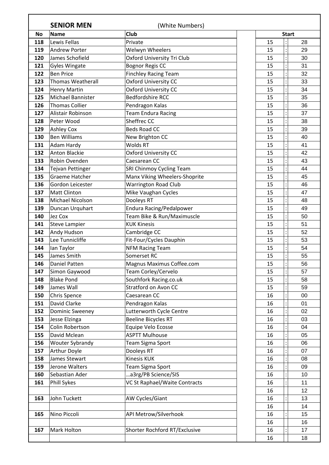|           | <b>SENIOR MEN</b>        | (White Numbers)                   |    |              |
|-----------|--------------------------|-----------------------------------|----|--------------|
| <b>No</b> | <b>Name</b>              | Club                              |    | <b>Start</b> |
| 118       | Lewis Fellas             | Private                           | 15 | 28           |
| 119       | <b>Andrew Porter</b>     | Welwyn Wheelers                   | 15 | 29           |
| 120       | James Schofield          | <b>Oxford University Tri Club</b> | 15 | 30           |
| 121       | <b>Gyles Wingate</b>     | <b>Bognor Regis CC</b>            | 15 | 31           |
| 122       | <b>Ben Price</b>         | <b>Finchley Racing Team</b>       | 15 | 32           |
| 123       | <b>Thomas Weatherall</b> | Oxford University CC              | 15 | 33           |
| 124       | <b>Henry Martin</b>      | <b>Oxford University CC</b>       | 15 | 34           |
| 125       | Michael Bannister        | <b>Bedfordshire RCC</b>           | 15 | 35           |
| 126       | <b>Thomas Collier</b>    | Pendragon Kalas                   | 15 | 36           |
| 127       | Alistair Robinson        | <b>Team Endura Racing</b>         | 15 | 37           |
| 128       | Peter Wood               | Sheffrec CC                       | 15 | 38           |
| 129       | <b>Ashley Cox</b>        | <b>Beds Road CC</b>               | 15 | 39           |
| 130       | <b>Ben Williams</b>      | New Brighton CC                   | 15 | 40           |
| 131       | Adam Hardy               | <b>Wolds RT</b>                   | 15 | 41           |
| 132       | <b>Anton Blackie</b>     | Oxford University CC              | 15 | 42           |
| 133       | Robin Ovenden            | Caesarean CC                      | 15 | 43           |
| 134       | Tejvan Pettinger         | SRI Chinmoy Cycling Team          | 15 | 44           |
| 135       | <b>Graeme Hatcher</b>    | Manx Viking Wheelers-Shoprite     | 15 | 45           |
| 136       | Gordon Leicester         | <b>Warrington Road Club</b>       | 15 | 46           |
| 137       | <b>Matt Clinton</b>      | Mike Vaughan Cycles               | 15 | 47           |
| 138       | Michael Nicolson         | Dooleys RT                        | 15 | 48           |
| 139       | Duncan Urquhart          | <b>Endura Racing/Pedalpower</b>   | 15 | 49           |
| 140       | Jez Cox                  | Team Bike & Run/Maximuscle        | 15 | 50           |
| 141       | <b>Steve Lampier</b>     | <b>KUK Kinesis</b>                | 15 | 51           |
| 142       | Andy Hudson              | Cambridge CC                      | 15 | 52           |
| 143       | Lee Tunnicliffe          | Fit-Four/Cycles Dauphin           | 15 | 53           |
| 144       | lan Taylor               | <b>NFM Racing Team</b>            | 15 | 54           |
| 145       | James Smith              | Somerset RC                       | 15 | 55           |
| 146       | Daniel Patten            | Magnus Maximus Coffee.com         | 15 | 56           |
| 147       | Simon Gaywood            | Team Corley/Cervelo               | 15 | 57           |
| 148       | <b>Blake Pond</b>        | Southfork Racing.co.uk            | 15 | 58           |
| 149       | James Wall               | Stratford on Avon CC              | 15 | 59           |
| 150       | Chris Spence             | Caesarean CC                      | 16 | 00           |
| 151       | David Clarke             | Pendragon Kalas                   | 16 | 01           |
| 152       | <b>Dominic Sweeney</b>   | Lutterworth Cycle Centre          | 16 | 02           |
| 153       | Jesse Elzinga            | <b>Beeline Bicycles RT</b>        | 16 | 03           |
| 154       | Colin Robertson          | Equipe Velo Ecosse                | 16 | 04           |
| 155       | David Mclean             | <b>ASPTT Mulhouse</b>             | 16 | 05           |
| 156       | Wouter Sybrandy          | Team Sigma Sport                  | 16 | 06           |
| 157       | Arthur Doyle             | Dooleys RT                        | 16 | 07           |
| 158       | James Stewart            | <b>Kinesis KUK</b>                | 16 | 08           |
| 159       | Jerone Walters           | Team Sigma Sport                  | 16 | 09           |
| 160       | Sebastian Ader           | a3rg/PB Science/SIS               | 16 | 10           |
| 161       | Phill Sykes              | VC St Raphael/Waite Contracts     | 16 | 11           |
|           |                          |                                   | 16 | 12           |
| 163       | John Tuckett             | AW Cycles/Giant                   | 16 | 13           |
|           |                          |                                   | 16 | 14           |
| 165       | Nino Piccoli             | API Metrow/Silverhook             | 16 | 15           |
|           |                          |                                   | 16 | 16           |
| 167       | <b>Mark Holton</b>       | Shorter Rochford RT/Exclusive     | 16 | 17           |
|           |                          |                                   | 16 | 18           |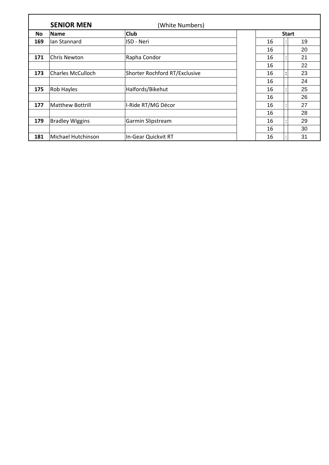|           | <b>SENIOR MEN</b>        | (White Numbers)               |    |                      |
|-----------|--------------------------|-------------------------------|----|----------------------|
| <b>No</b> | <b>Name</b>              | <b>Club</b>                   |    | <b>Start</b>         |
| 169       | Ian Stannard             | ISD - Neri                    | 16 | 19                   |
|           |                          |                               | 16 | 20                   |
| 171       | Chris Newton             | Rapha Condor                  | 16 | 21                   |
|           |                          |                               | 16 | 22                   |
| 173       | <b>Charles McCulloch</b> | Shorter Rochford RT/Exclusive | 16 | 23<br>$\ddot{\cdot}$ |
|           |                          |                               | 16 | 24                   |
| 175       | Rob Hayles               | Halfords/Bikehut              | 16 | 25                   |
|           |                          |                               | 16 | 26                   |
| 177       | <b>Matthew Bottrill</b>  | I-Ride RT/MG Décor            | 16 | 27                   |
|           |                          |                               | 16 | 28                   |
| 179       | <b>Bradley Wiggins</b>   | Garmin Slipstream             | 16 | 29                   |
|           |                          |                               | 16 | 30                   |
| 181       | Michael Hutchinson       | In-Gear Quickvit RT           | 16 | 31                   |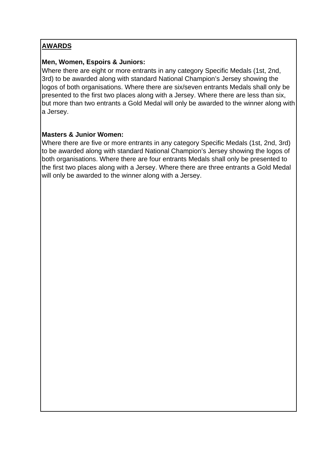# **AWARDS**

# **Men, Women, Espoirs & Juniors:**

Where there are eight or more entrants in any category Specific Medals (1st, 2nd, 3rd) to be awarded along with standard National Champion's Jersey showing the logos of both organisations. Where there are six/seven entrants Medals shall only be presented to the first two places along with a Jersey. Where there are less than six, but more than two entrants a Gold Medal will only be awarded to the winner along with a Jersey.

# **Masters & Junior Women:**

Where there are five or more entrants in any category Specific Medals (1st, 2nd, 3rd) to be awarded along with standard National Champion's Jersey showing the logos of both organisations. Where there are four entrants Medals shall only be presented to the first two places along with a Jersey. Where there are three entrants a Gold Medal will only be awarded to the winner along with a Jersey.